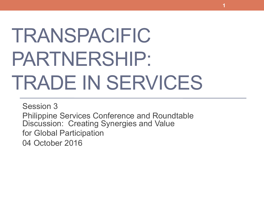# TRANSPACIFIC PARTNERSHIP: TRADE IN SERVICES

**1** 

Session 3 Philippine Services Conference and Roundtable Discussion: Creating Synergies and Value for Global Participation 04 October 2016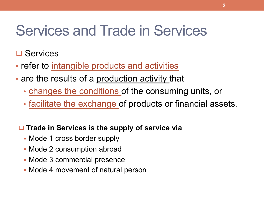# Services and Trade in Services

### $\square$  Services

- refer to intangible products and activities
- are the results of a production activity that
	- changes the conditions of the consuming units, or
	- facilitate the exchange of products or financial assets.

#### **□ Trade in Services is the supply of service via**

- Mode 1 cross border supply
- Mode 2 consumption abroad
- § Mode 3 commercial presence
- Mode 4 movement of natural person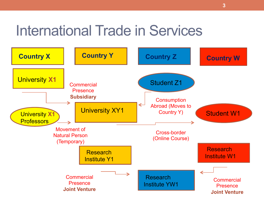# International Trade in Services

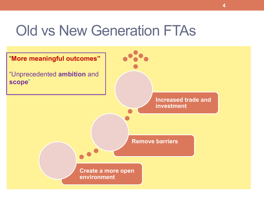## Old vs New Generation FTAs

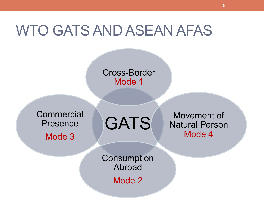### WTO GATS AND ASEAN AFAS

#### Cross-Border Mode 1

**Commercial** Presence Mode 3

GATS

Movement of Natural Person Mode 4

**Consumption** Abroad

Mode 2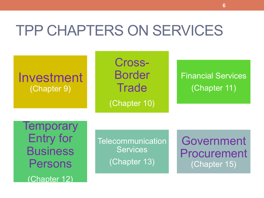# TPP CHAPTERS ON SERVICES

### Investment (Chapter 9)

Cross-Border **Trade** (Chapter 10)

Financial Services (Chapter 11)

**Temporary** Entry for **Business** Persons (Chapter 12)

**Telecommunication Services** (Chapter 13)

Government Procurement (Chapter 15)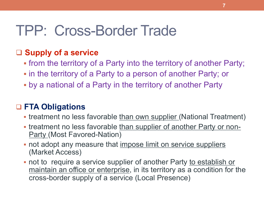### **□ Supply of a service**

- from the territory of a Party into the territory of another Party;
- in the territory of a Party to a person of another Party; or
- by a national of a Party in the territory of another Party

### q **FTA Obligations**

- treatment no less favorable than own supplier (National Treatment)
- treatment no less favorable than supplier of another Party or non-**Party (Most Favored-Nation)**
- not adopt any measure that impose limit on service suppliers (Market Access)
- not to require a service supplier of another Party to establish or maintain an office or enterprise, in its territory as a condition for the cross-border supply of a service (Local Presence)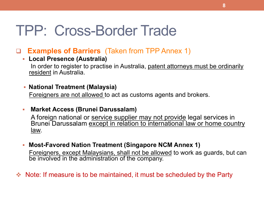#### **Examples of Barriers** (Taken from TPP Annex 1)

#### § **Local Presence (Australia)**  In order to register to practise in Australia, patent attorneys must be ordinarily resident in Australia.

#### § **National Treatment (Malaysia)**

Foreigners are not allowed to act as customs agents and brokers.

#### § **Market Access (Brunei Darussalam)**

A foreign national or service supplier may not provide legal services in Brunei Darussalam except in relation to international law or home country law.

- § **Most-Favored Nation Treatment (Singapore NCM Annex 1)**  Foreigners, except Malaysians, shall not be allowed to work as guards, but can be involved in the administration of the company.
- $\div$  Note: If measure is to be maintained, it must be scheduled by the Party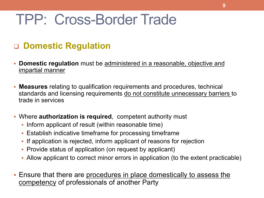### q **Domestic Regulation**

- **Domestic regulation** must be administered in a reasonable, objective and impartial manner
- § **Measures** relating to qualification requirements and procedures, technical standards and licensing requirements do not constitute unnecessary barriers to trade in services
- § Where **authorization is required**, competent authority must
	- Inform applicant of result (within reasonable time)
	- Establish indicative timeframe for processing timeframe
	- § If application is rejected, inform applicant of reasons for rejection
	- Provide status of application (on request by applicant)
	- Allow applicant to correct minor errors in application (to the extent practicable)
- § Ensure that there are procedures in place domestically to assess the competency of professionals of another Party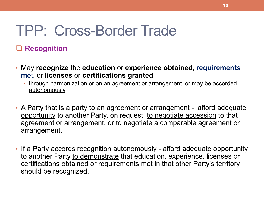#### q **Recognition**

- May **recognize** the **education** or **experience obtained**, **requirements me**t, or **licenses** or **certifications granted**
	- through harmonization or on an agreement or arrangement, or may be accorded autonomously.
- A Party that is a party to an agreement or arrangement afford adequate opportunity to another Party, on request, to negotiate accession to that agreement or arrangement, or to negotiate a comparable agreement or arrangement.
- If a Party accords recognition autonomously afford adequate opportunity to another Party to demonstrate that education, experience, licenses or certifications obtained or requirements met in that other Party's territory should be recognized.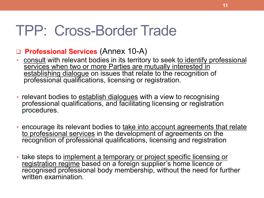#### q **Professional Services** (Annex 10-A)

- consult with relevant bodies in its territory to seek to identify professional services when two or more Parties are mutually interested in establishing dialogue on issues that relate to the recognition of professional qualifications, licensing or registration.
- relevant bodies to establish dialogues with a view to recognising professional qualifications, and facilitating licensing or registration procedures.
- encourage its relevant bodies to take into account agreements that relate to professional services in the development of agreements on the recognition of professional qualifications, licensing and registration
- take steps to implement a temporary or project specific licensing or registration regime based on a foreign supplier's home licence or recognised professional body membership, without the need for further written examination.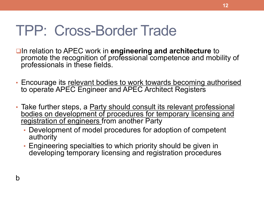**QIn relation to APEC work in engineering and architecture to** promote the recognition of professional competence and mobility of professionals in these fields.

**12** 

- Encourage its relevant bodies to work towards becoming authorised to operate APEC Engineer and APEC Architect Registers
- Take further steps, a Party should consult its relevant professional bodies on development of procedures for temporary licensing and registration of engineers from another Party
	- Development of model procedures for adoption of competent authority
	- Engineering specialties to which priority should be given in developing temporary licensing and registration procedures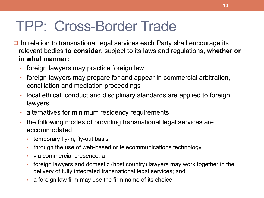- $\Box$  In relation to transnational legal services each Party shall encourage its relevant bodies **to consider**, subject to its laws and regulations, **whether or in what manner:** 
	- foreign lawyers may practice foreign law
	- foreign lawyers may prepare for and appear in commercial arbitration, conciliation and mediation proceedings
	- local ethical, conduct and disciplinary standards are applied to foreign lawyers
	- alternatives for minimum residency requirements
	- the following modes of providing transnational legal services are accommodated
		- temporary fly-in, fly-out basis
		- through the use of web-based or telecommunications technology
		- via commercial presence; a
		- foreign lawyers and domestic (host country) lawyers may work together in the delivery of fully integrated transnational legal services; and
		- a foreign law firm may use the firm name of its choice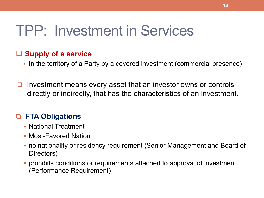# TPP: Investment in Services

#### □ Supply of a service

- In the territory of a Party by a covered investment (commercial presence)
- $\Box$  Investment means every asset that an investor owns or controls, directly or indirectly, that has the characteristics of an investment.

#### q **FTA Obligations**

- § National Treatment
- § Most-Favored Nation
- no nationality or residency requirement (Senior Management and Board of Directors)
- prohibits conditions or requirements attached to approval of investment (Performance Requirement)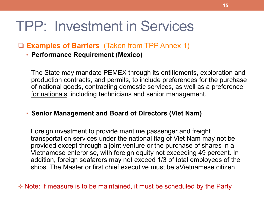# TPP: Investment in Services

#### q **Examples of Barriers** (Taken from TPP Annex 1)

• **Performance Requirement (Mexico)** 

The State may mandate PEMEX through its entitlements, exploration and production contracts, and permits, to include preferences for the purchase of national goods, contracting domestic services, as well as a preference for nationals, including technicians and senior management.

#### § **Senior Management and Board of Directors (Viet Nam)**

Foreign investment to provide maritime passenger and freight transportation services under the national flag of Viet Nam may not be provided except through a joint venture or the purchase of shares in a Vietnamese enterprise, with foreign equity not exceeding 49 percent. In addition, foreign seafarers may not exceed 1/3 of total employees of the ships. The Master or first chief executive must be aVietnamese citizen.

 $\triangle$  Note: If measure is to be maintained, it must be scheduled by the Party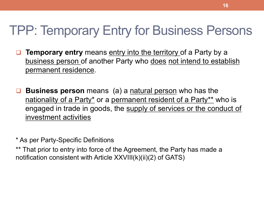### TPP: Temporary Entry for Business Persons

- **Q Temporary entry** means entry into the territory of a Party by a business person of another Party who does not intend to establish permanent residence.
- **Business person** means (a) a natural person who has the nationality of a Party\* or a permanent resident of a Party\*\* who is engaged in trade in goods, the supply of services or the conduct of investment activities

\* As per Party-Specific Definitions

\*\* That prior to entry into force of the Agreement, the Party has made a notification consistent with Article XXVIII(k)(ii)(2) of GATS)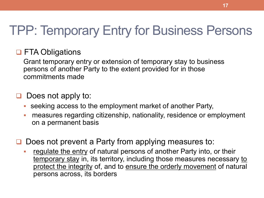### TPP: Temporary Entry for Business Persons

### **Q FTA Obligations**

Grant temporary entry or extension of temporary stay to business persons of another Party to the extent provided for in those commitments made

### $\Box$  Does not apply to:

- seeking access to the employment market of another Party,
- measures regarding citizenship, nationality, residence or employment on a permanent basis
- Does not prevent a Party from applying measures to:
	- regulate the entry of natural persons of another Party into, or their temporary stay in, its territory, including those measures necessary to protect the integrity of, and to ensure the orderly movement of natural persons across, its borders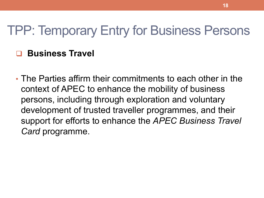### TPP: Temporary Entry for Business Persons

### q **Business Travel**

• The Parties affirm their commitments to each other in the context of APEC to enhance the mobility of business persons, including through exploration and voluntary development of trusted traveller programmes, and their support for efforts to enhance the *APEC Business Travel Card* programme.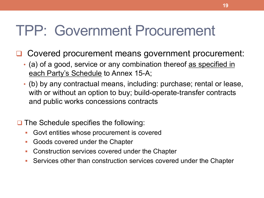# TPP: Government Procurement

- Covered procurement means government procurement:
	- (a) of a good, service or any combination thereof as specified in each Party's Schedule to Annex 15-A;
	- (b) by any contractual means, including: purchase; rental or lease, with or without an option to buy; build-operate-transfer contracts and public works concessions contracts
- $\Box$  The Schedule specifies the following:
	- § Govt entities whose procurement is covered
	- § Goods covered under the Chapter
	- Construction services covered under the Chapter
	- Services other than construction services covered under the Chapter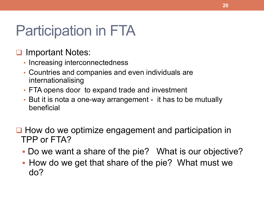# Participation in FTA

### **□ Important Notes:**

- Increasing interconnectedness
- Countries and companies and even individuals are internationalising
- FTA opens door to expand trade and investment
- But it is nota a one-way arrangement it has to be mutually beneficial
- $\Box$  How do we optimize engagement and participation in TPP or FTA?
	- § Do we want a share of the pie? What is our objective?
	- How do we get that share of the pie? What must we do?